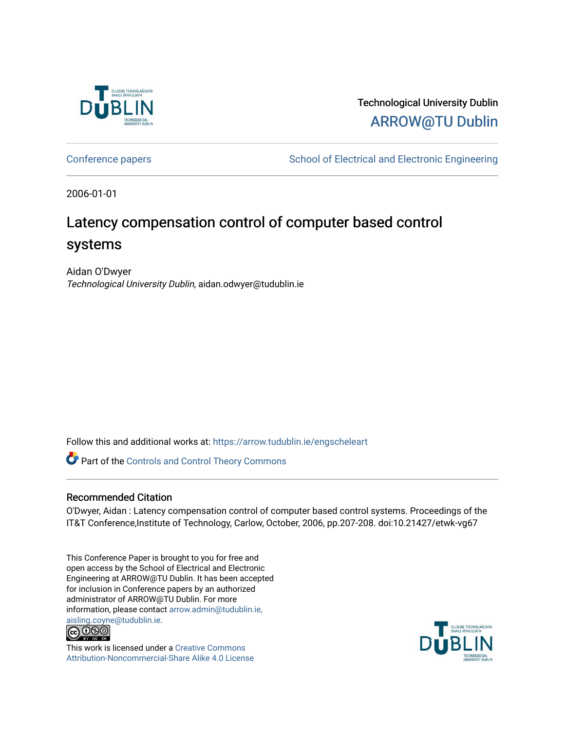

## Technological University Dublin [ARROW@TU Dublin](https://arrow.tudublin.ie/)

[Conference papers](https://arrow.tudublin.ie/engscheleart) **School of Electrical and Electronic Engineering** 

2006-01-01

# Latency compensation control of computer based control systems

Aidan O'Dwyer Technological University Dublin, aidan.odwyer@tudublin.ie

Follow this and additional works at: [https://arrow.tudublin.ie/engscheleart](https://arrow.tudublin.ie/engscheleart?utm_source=arrow.tudublin.ie%2Fengscheleart%2F68&utm_medium=PDF&utm_campaign=PDFCoverPages) 

Part of the [Controls and Control Theory Commons](http://network.bepress.com/hgg/discipline/269?utm_source=arrow.tudublin.ie%2Fengscheleart%2F68&utm_medium=PDF&utm_campaign=PDFCoverPages) 

## Recommended Citation

O'Dwyer, Aidan : Latency compensation control of computer based control systems. Proceedings of the IT&T Conference,Institute of Technology, Carlow, October, 2006, pp.207-208. doi:10.21427/etwk-vg67

This Conference Paper is brought to you for free and open access by the School of Electrical and Electronic Engineering at ARROW@TU Dublin. It has been accepted for inclusion in Conference papers by an authorized administrator of ARROW@TU Dublin. For more information, please contact [arrow.admin@tudublin.ie,](mailto:arrow.admin@tudublin.ie,%20aisling.coyne@tudublin.ie)  [aisling.coyne@tudublin.ie.](mailto:arrow.admin@tudublin.ie,%20aisling.coyne@tudublin.ie)<br>© 090



This work is licensed under a [Creative Commons](http://creativecommons.org/licenses/by-nc-sa/4.0/) [Attribution-Noncommercial-Share Alike 4.0 License](http://creativecommons.org/licenses/by-nc-sa/4.0/)

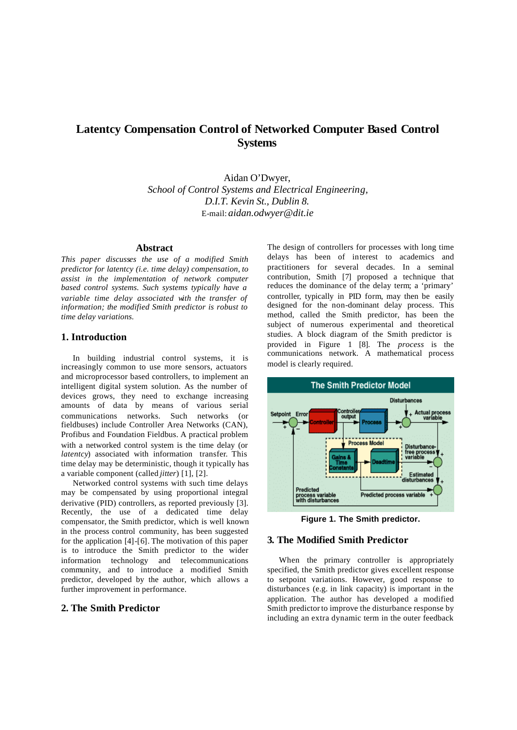## **Latentcy Compensation Control of Networked Computer Based Control Systems**

Aidan O'Dwyer, *School of Control Systems and Electrical Engineering, D.I.T. Kevin St., Dublin 8.*  E-mail: *aidan.odwyer@dit.ie*

#### **Abstract**

*This paper discusses the use of a modified Smith predictor for latentcy (i.e. time delay) compensation, to assist in the implementation of network computer based control systems. Such systems typically have a variable time delay associated with the transfer of information; the modified Smith predictor is robust to time delay variations.*

## **1. Introduction**

In building industrial control systems, it is increasingly common to use more sensors, actuators and microprocessor based controllers, to implement an intelligent digital system solution. As the number of devices grows, they need to exchange increasing amounts of data by means of various serial communications networks. Such networks (or fieldbuses) include Controller Area Networks (CAN), Profibus and Foundation Fieldbus. A practical problem with a networked control system is the time delay (or *latentcy*) associated with information transfer. This time delay may be deterministic, though it typically has a variable component (called *jitter*) [1], [2].

Networked control systems with such time delays may be compensated by using proportional integral derivative (PID) controllers, as reported previously [3]. Recently, the use of a dedicated time delay compensator, the Smith predictor, which is well known in the process control community, has been suggested for the application [4]-[6]. The motivation of this paper is to introduce the Smith predictor to the wider information technology and telecommunications community, and to introduce a modified Smith predictor, developed by the author, which allows a further improvement in performance.

## **2. The Smith Predictor**

The design of controllers for processes with long time delays has been of interest to academics and practitioners for several decades. In a seminal contribution, Smith [7] proposed a technique that reduces the dominance of the delay term; a 'primary' controller, typically in PID form, may then be easily designed for the non-dominant delay process. This method, called the Smith predictor, has been the subject of numerous experimental and theoretical studies. A block diagram of the Smith predictor is provided in Figure 1 [8]. The *process* is the communications network. A mathematical process model is clearly required.



**Figure 1. The Smith predictor.**

### **3. The Modified Smith Predictor**

When the primary controller is appropriately specified, the Smith predictor gives excellent response to setpoint variations. However, good response to disturbances (e.g. in link capacity) is important in the application. The author has developed a modified Smith predictor to improve the disturbance response by including an extra dynamic term in the outer feedback